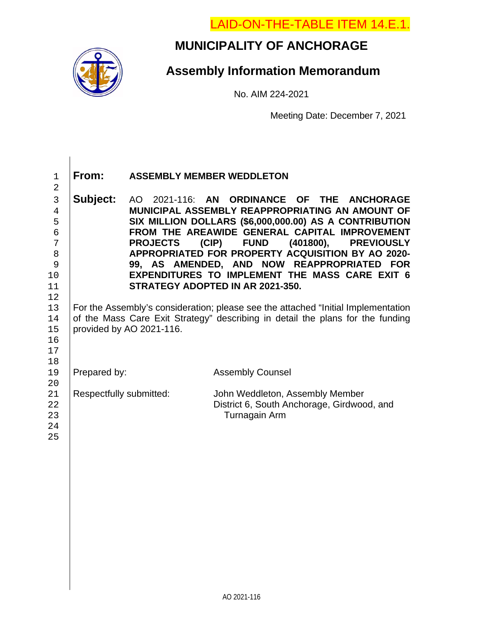LAID-ON-THE-TABLE ITEM 14.E.1.



 $\overline{\phantom{a}}$ 

# **MUNICIPALITY OF ANCHORAGE**

# **Assembly Information Memorandum**

No. AIM 224-2021

Meeting Date: December 7, 2021

| $\mathbf{1}$<br>$\overline{2}$ | From:                                                                             | <b>ASSEMBLY MEMBER WEDDLETON</b>                       |                                            |           |                   |  |  |  |
|--------------------------------|-----------------------------------------------------------------------------------|--------------------------------------------------------|--------------------------------------------|-----------|-------------------|--|--|--|
| 3                              | Subject:                                                                          | AO 2021-116: AN ORDINANCE OF THE ANCHORAGE             |                                            |           |                   |  |  |  |
| $\overline{4}$                 |                                                                                   | MUNICIPAL ASSEMBLY REAPPROPRIATING AN AMOUNT OF        |                                            |           |                   |  |  |  |
| 5                              |                                                                                   | SIX MILLION DOLLARS (\$6,000,000.00) AS A CONTRIBUTION |                                            |           |                   |  |  |  |
| 6                              |                                                                                   | FROM THE AREAWIDE GENERAL CAPITAL IMPROVEMENT          |                                            |           |                   |  |  |  |
| 7                              |                                                                                   | <b>PROJECTS</b>                                        | (CIP)<br><b>FUND</b>                       | (401800), | <b>PREVIOUSLY</b> |  |  |  |
| 8                              | APPROPRIATED FOR PROPERTY ACQUISITION BY AO 2020-                                 |                                                        |                                            |           |                   |  |  |  |
| 9                              | 99, AS AMENDED, AND NOW REAPPROPRIATED FOR                                        |                                                        |                                            |           |                   |  |  |  |
| 10                             | <b>EXPENDITURES TO IMPLEMENT THE MASS CARE EXIT 6</b>                             |                                                        |                                            |           |                   |  |  |  |
| 11                             | STRATEGY ADOPTED IN AR 2021-350.                                                  |                                                        |                                            |           |                   |  |  |  |
| 12                             |                                                                                   |                                                        |                                            |           |                   |  |  |  |
| 13                             | For the Assembly's consideration; please see the attached "Initial Implementation |                                                        |                                            |           |                   |  |  |  |
| 14                             | of the Mass Care Exit Strategy" describing in detail the plans for the funding    |                                                        |                                            |           |                   |  |  |  |
| 15                             | provided by AO 2021-116.                                                          |                                                        |                                            |           |                   |  |  |  |
| 16                             |                                                                                   |                                                        |                                            |           |                   |  |  |  |
| 17                             |                                                                                   |                                                        |                                            |           |                   |  |  |  |
| 18                             |                                                                                   |                                                        |                                            |           |                   |  |  |  |
| 19<br>20                       | Prepared by:                                                                      |                                                        | <b>Assembly Counsel</b>                    |           |                   |  |  |  |
| 21                             | Respectfully submitted:                                                           |                                                        | John Weddleton, Assembly Member            |           |                   |  |  |  |
| 22                             |                                                                                   |                                                        | District 6, South Anchorage, Girdwood, and |           |                   |  |  |  |
| 23                             |                                                                                   |                                                        | Turnagain Arm                              |           |                   |  |  |  |
| 24                             |                                                                                   |                                                        |                                            |           |                   |  |  |  |
| 25                             |                                                                                   |                                                        |                                            |           |                   |  |  |  |
|                                |                                                                                   |                                                        |                                            |           |                   |  |  |  |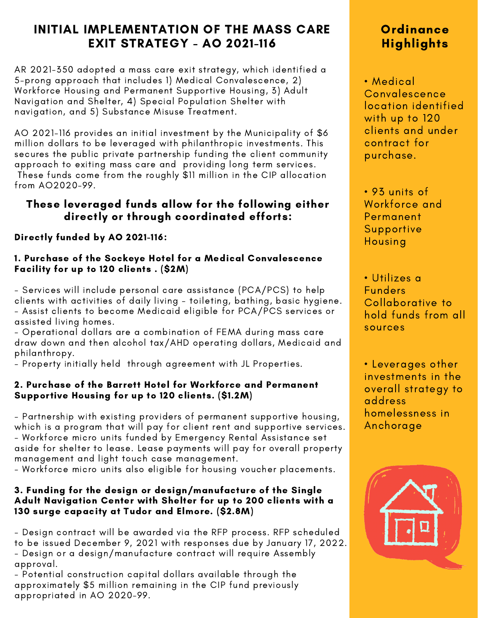# INITIAL IMPLEMENTATION OF THE MASS CARE EXIT STRATEGY - AO 2021-116

AR 2021-350 adopted a mass care exit strategy, which identified a 5-prong approach that includes 1) Medical Convalescence, 2) Workforce Housing and Permanent Supportive Housing, 3) Adult Navigation and Shelter, 4) Special Population Shelter with navigation, and 5) Substance Misuse Treatment.

AO 2021-116 provides an initial investment by the Municipality of \$6 million dollars to be leveraged with philanthropic investments. This secures the public private partnership funding the client community approach to exiting mass care and providing long term services. These funds come from the roughly \$11 million in the CIP allocation from AO2020-99.

## These leveraged funds allow for the following either directly or through coordinated efforts:

## Directly funded by AO 2021-116:

### 1. Purchase of the Sockeye Hotel for a Medical Convalescence Facility for up to 120 clients . (\$2M)

- Services will include personal care assistance (PCA/PCS) to help clients with activities of daily living - toileting, bathing, basic hygiene. - Assist clients to become Medicaid eligible for PCA/PCS services or assisted living homes.

- Operational dollars are a combination of FEMA during mass care draw down and then alcohol tax/AHD operating dollars, Medicaid and philanthropy.

- Property initially held through agreement with JL Properties.

### 2. Purchase of the Barrett Hotel for Workforce and Permanent Supportive Housing for up to 120 clients. (\$1.2M)

- Partnership with existing providers of permanent supportive housing, which is a program that will pay for client rent and supportive services. - Workforce micro units funded by Emergency Rental Assistance set aside for shelter to lease. Lease payments will pay for overall property management and light touch case management.

- Workforce micro units also eligible for housing voucher placements.

### 3. Funding for the design or design/manufacture of the Single Adult Navigation Center with Shelter for up to 200 clients with a 130 surge capacity at Tudor and Elmore. (\$2.8M)

- Design contract will be awarded via the RFP process. RFP scheduled to be issued December 9, 2021 with responses due by January 17, 2022. - Design or a design/manufacture contract will require Assembly

approval.

- Potential construction capital dollars available through the approximately \$5 million remaining in the CIP fund previously appropriated in AO 2020-99.

# **Ordinance Highlights**

• Medical **Convalescence** location identified with up to 120 clients and under contract for purchase.

• 93 units of Workforce and Permanent Supportive Housing

• Utilizes a Funders Collaborative to hold funds from all sources

• Leverages other investments in the overall strategy to address homelessness in Anchorage